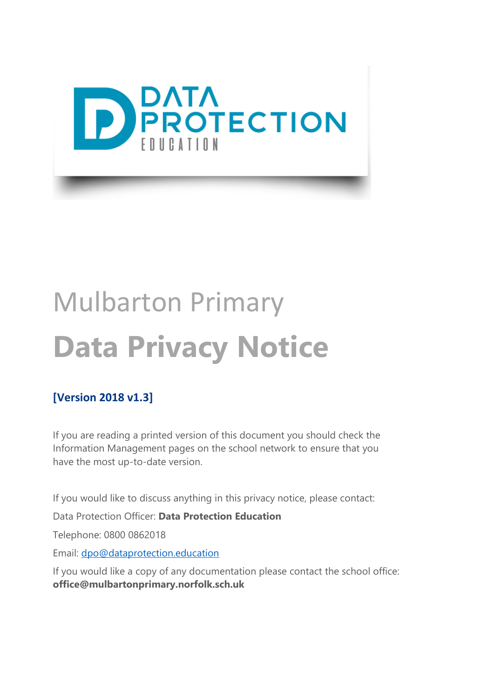

# Mulbarton Primary **Data Privacy Notice**

#### **[Version 2018 v1.3]**

If you are reading a printed version of this document you should check the Information Management pages on the school network to ensure that you have the most up-to-date version.

If you would like to discuss anything in this privacy notice, please contact:

Data Protection Officer: **Data Protection Education**

Telephone: 0800 0862018

Email: [dpo@dataprotection.education](mailto:dpo@dataprotection.education)

If you would like a copy of any documentation please contact the school office: **office@mulbartonprimary.norfolk.sch.uk**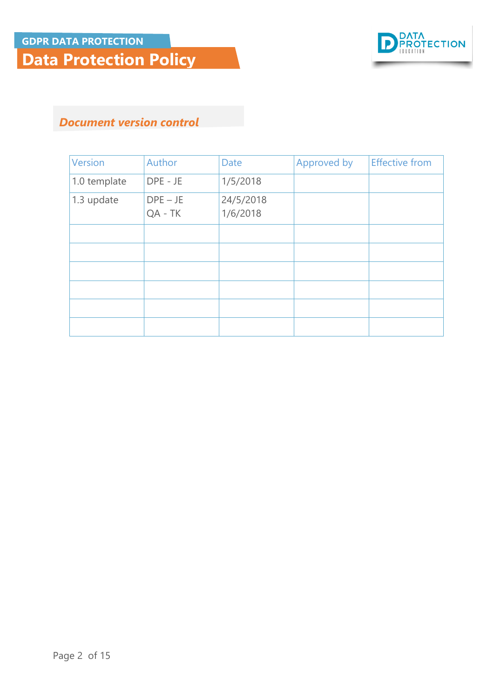

#### *Document version control*

| <b>Version</b> | Author                  | <b>Date</b>           | Approved by | <b>Effective from</b> |
|----------------|-------------------------|-----------------------|-------------|-----------------------|
| 1.0 template   | DPE - JE                | 1/5/2018              |             |                       |
| 1.3 update     | $DPE - JE$<br>$QA - TK$ | 24/5/2018<br>1/6/2018 |             |                       |
|                |                         |                       |             |                       |
|                |                         |                       |             |                       |
|                |                         |                       |             |                       |
|                |                         |                       |             |                       |
|                |                         |                       |             |                       |
|                |                         |                       |             |                       |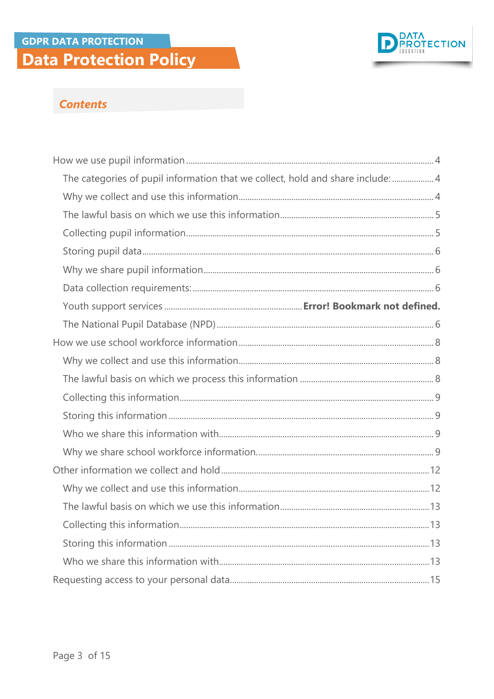#### **GDPR DATA PROTECTION Data Protection Policy**



#### **Contents**

| The categories of pupil information that we collect, hold and share include:  4 |  |
|---------------------------------------------------------------------------------|--|
|                                                                                 |  |
|                                                                                 |  |
|                                                                                 |  |
|                                                                                 |  |
|                                                                                 |  |
|                                                                                 |  |
|                                                                                 |  |
|                                                                                 |  |
|                                                                                 |  |
|                                                                                 |  |
|                                                                                 |  |
|                                                                                 |  |
|                                                                                 |  |
|                                                                                 |  |
|                                                                                 |  |
|                                                                                 |  |
|                                                                                 |  |
|                                                                                 |  |
|                                                                                 |  |
|                                                                                 |  |
|                                                                                 |  |
|                                                                                 |  |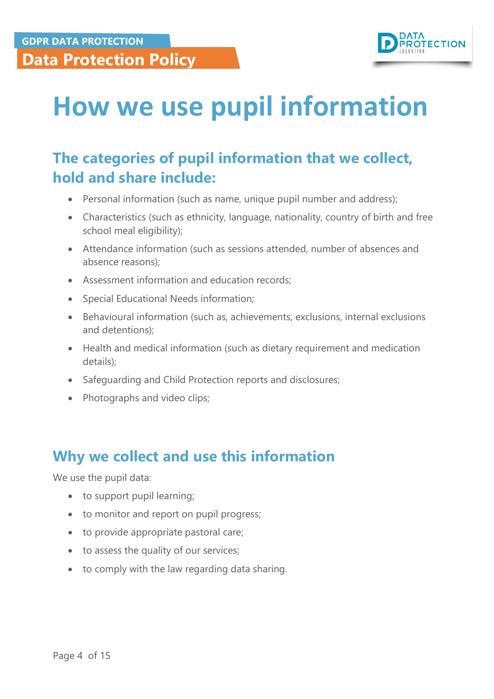

## <span id="page-3-0"></span>**How we use pupil information**

### <span id="page-3-1"></span>**The categories of pupil information that we collect, hold and share include:**

- Personal information (such as name, unique pupil number and address);
- Characteristics (such as ethnicity, language, nationality, country of birth and free school meal eligibility);
- Attendance information (such as sessions attended, number of absences and absence reasons);
- Assessment information and education records;
- Special Educational Needs information;
- Behavioural information (such as, achievements, exclusions, internal exclusions and detentions);
- Health and medical information (such as dietary requirement and medication details);
- Safeguarding and Child Protection reports and disclosures;
- Photographs and video clips;

#### <span id="page-3-2"></span>**Why we collect and use this information**

We use the pupil data:

- to support pupil learning;
- to monitor and report on pupil progress;
- to provide appropriate pastoral care;
- to assess the quality of our services;
- to comply with the law regarding data sharing.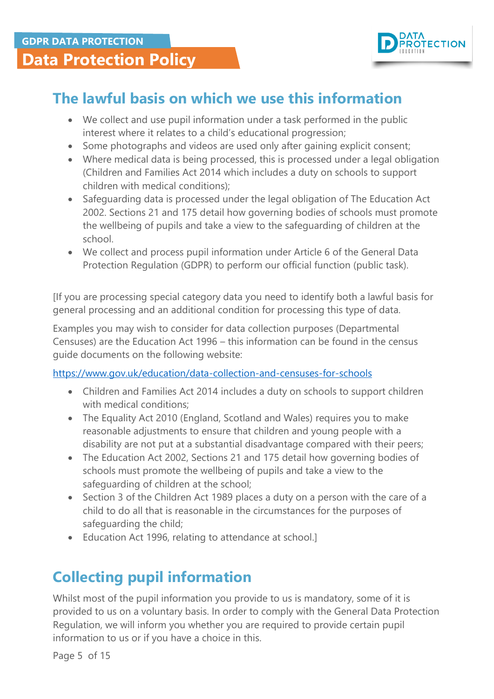

### <span id="page-4-0"></span>**The lawful basis on which we use this information**

- We collect and use pupil information under a task performed in the public interest where it relates to a child's educational progression;
- Some photographs and videos are used only after gaining explicit consent;
- Where medical data is being processed, this is processed under a legal obligation (Children and Families Act 2014 which includes a duty on schools to support children with medical conditions);
- Safeguarding data is processed under the legal obligation of The Education Act 2002. Sections 21 and 175 detail how governing bodies of schools must promote the wellbeing of pupils and take a view to the safeguarding of children at the school.
- We collect and process pupil information under Article 6 of the General Data Protection Regulation (GDPR) to perform our official function (public task).

[If you are processing special category data you need to identify both a lawful basis for general processing and an additional condition for processing this type of data.

Examples you may wish to consider for data collection purposes (Departmental Censuses) are the Education Act 1996 – this information can be found in the census guide documents on the following website:

<https://www.gov.uk/education/data-collection-and-censuses-for-schools>

- Children and Families Act 2014 includes a duty on schools to support children with medical conditions;
- The Equality Act 2010 (England, Scotland and Wales) requires you to make reasonable adjustments to ensure that children and young people with a disability are not put at a substantial disadvantage compared with their peers;
- The Education Act 2002, Sections 21 and 175 detail how governing bodies of schools must promote the wellbeing of pupils and take a view to the safeguarding of children at the school;
- Section 3 of the Children Act 1989 places a duty on a person with the care of a child to do all that is reasonable in the circumstances for the purposes of safeguarding the child;
- Education Act 1996, relating to attendance at school.]

## <span id="page-4-1"></span>**Collecting pupil information**

Whilst most of the pupil information you provide to us is mandatory, some of it is provided to us on a voluntary basis. In order to comply with the General Data Protection Regulation, we will inform you whether you are required to provide certain pupil information to us or if you have a choice in this.

Page 5 of 15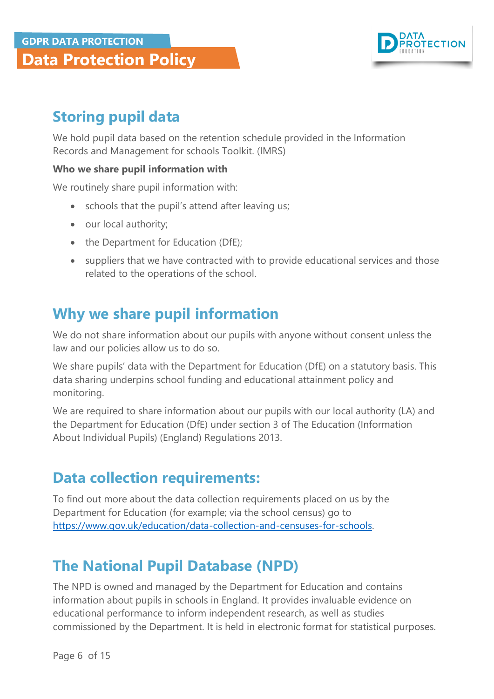

## <span id="page-5-0"></span>**Storing pupil data**

We hold pupil data based on the retention schedule provided in the Information Records and Management for schools Toolkit. (IMRS)

#### **Who we share pupil information with**

We routinely share pupil information with:

- schools that the pupil's attend after leaving us;
- our local authority;
- the Department for Education (DfE);
- suppliers that we have contracted with to provide educational services and those related to the operations of the school.

#### <span id="page-5-1"></span>**Why we share pupil information**

We do not share information about our pupils with anyone without consent unless the law and our policies allow us to do so.

We share pupils' data with the Department for Education (DfE) on a statutory basis. This data sharing underpins school funding and educational attainment policy and monitoring.

We are required to share information about our pupils with our local authority (LA) and the Department for Education (DfE) under section 3 of The Education (Information About Individual Pupils) (England) Regulations 2013.

#### <span id="page-5-2"></span>**Data collection requirements:**

To find out more about the data collection requirements placed on us by the Department for Education (for example; via the school census) go to [https://www.gov.uk/education/data-collection-and-censuses-for-schools.](https://www.gov.uk/education/data-collection-and-censuses-for-schools)

### <span id="page-5-3"></span>**The National Pupil Database (NPD)**

The NPD is owned and managed by the Department for Education and contains information about pupils in schools in England. It provides invaluable evidence on educational performance to inform independent research, as well as studies commissioned by the Department. It is held in electronic format for statistical purposes.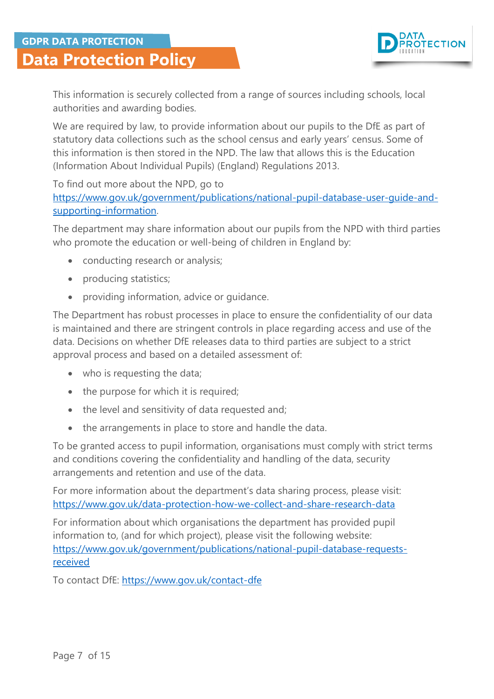

This information is securely collected from a range of sources including schools, local authorities and awarding bodies.

We are required by law, to provide information about our pupils to the DfE as part of statutory data collections such as the school census and early years' census. Some of this information is then stored in the NPD. The law that allows this is the Education (Information About Individual Pupils) (England) Regulations 2013.

To find out more about the NPD, go to [https://www.gov.uk/government/publications/national-pupil-database-user-guide-and](https://www.gov.uk/government/publications/national-pupil-database-user-guide-and-supporting-information)[supporting-information.](https://www.gov.uk/government/publications/national-pupil-database-user-guide-and-supporting-information)

The department may share information about our pupils from the NPD with third parties who promote the education or well-being of children in England by:

- conducting research or analysis;
- producing statistics;
- providing information, advice or guidance.

The Department has robust processes in place to ensure the confidentiality of our data is maintained and there are stringent controls in place regarding access and use of the data. Decisions on whether DfE releases data to third parties are subject to a strict approval process and based on a detailed assessment of:

- who is requesting the data;
- the purpose for which it is required;
- the level and sensitivity of data requested and;
- the arrangements in place to store and handle the data.

To be granted access to pupil information, organisations must comply with strict terms and conditions covering the confidentiality and handling of the data, security arrangements and retention and use of the data.

For more information about the department's data sharing process, please visit: <https://www.gov.uk/data-protection-how-we-collect-and-share-research-data>

For information about which organisations the department has provided pupil information to, (and for which project), please visit the following website: [https://www.gov.uk/government/publications/national-pupil-database-requests](https://www.gov.uk/government/publications/national-pupil-database-requests-received)[received](https://www.gov.uk/government/publications/national-pupil-database-requests-received)

To contact DfE:<https://www.gov.uk/contact-dfe>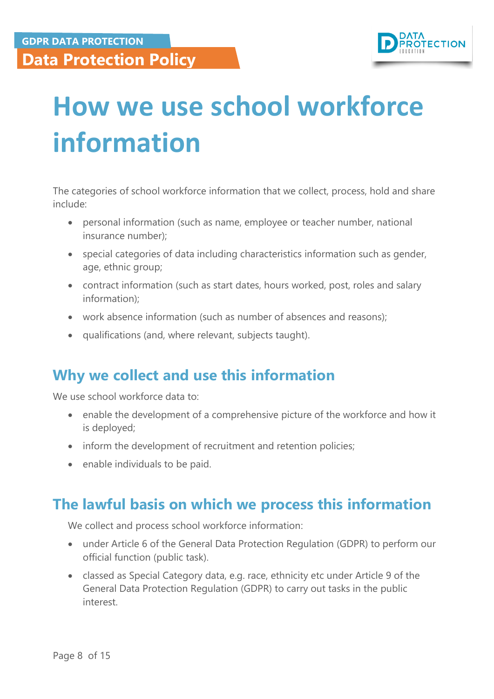

# <span id="page-7-0"></span>**How we use school workforce information**

The categories of school workforce information that we collect, process, hold and share include:

- personal information (such as name, employee or teacher number, national insurance number);
- special categories of data including characteristics information such as gender, age, ethnic group;
- contract information (such as start dates, hours worked, post, roles and salary information);
- work absence information (such as number of absences and reasons);
- qualifications (and, where relevant, subjects taught).

### <span id="page-7-1"></span>**Why we collect and use this information**

We use school workforce data to:

- enable the development of a comprehensive picture of the workforce and how it is deployed;
- inform the development of recruitment and retention policies;
- enable individuals to be paid.

#### <span id="page-7-2"></span>**The lawful basis on which we process this information**

We collect and process school workforce information:

- under Article 6 of the General Data Protection Regulation (GDPR) to perform our official function (public task).
- classed as Special Category data, e.g. race, ethnicity etc under Article 9 of the General Data Protection Regulation (GDPR) to carry out tasks in the public interest.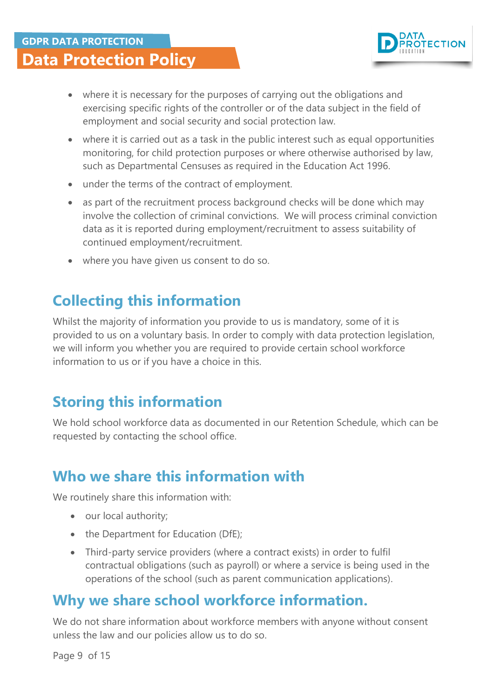

- where it is necessary for the purposes of carrying out the obligations and exercising specific rights of the controller or of the data subject in the field of employment and social security and social protection law.
- where it is carried out as a task in the public interest such as equal opportunities monitoring, for child protection purposes or where otherwise authorised by law, such as Departmental Censuses as required in the Education Act 1996.
- under the terms of the contract of employment.
- as part of the recruitment process background checks will be done which may involve the collection of criminal convictions. We will process criminal conviction data as it is reported during employment/recruitment to assess suitability of continued employment/recruitment.
- where you have given us consent to do so.

## <span id="page-8-0"></span>**Collecting this information**

Whilst the majority of information you provide to us is mandatory, some of it is provided to us on a voluntary basis. In order to comply with data protection legislation, we will inform you whether you are required to provide certain school workforce information to us or if you have a choice in this.

### <span id="page-8-1"></span>**Storing this information**

We hold school workforce data as documented in our Retention Schedule, which can be requested by contacting the school office.

### <span id="page-8-2"></span>**Who we share this information with**

We routinely share this information with:

- our local authority;
- the Department for Education (DfE);
- Third-party service providers (where a contract exists) in order to fulfil contractual obligations (such as payroll) or where a service is being used in the operations of the school (such as parent communication applications).

#### <span id="page-8-3"></span>**Why we share school workforce information.**

We do not share information about workforce members with anyone without consent unless the law and our policies allow us to do so.

Page 9 of 15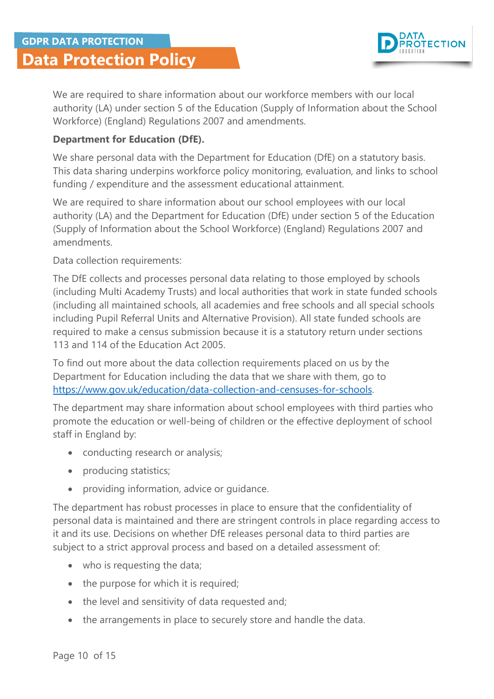

We are required to share information about our workforce members with our local authority (LA) under section 5 of the Education (Supply of Information about the School Workforce) (England) Regulations 2007 and amendments.

#### **Department for Education (DfE).**

We share personal data with the Department for Education (DfE) on a statutory basis. This data sharing underpins workforce policy monitoring, evaluation, and links to school funding / expenditure and the assessment educational attainment.

We are required to share information about our school employees with our local authority (LA) and the Department for Education (DfE) under section 5 of the Education (Supply of Information about the School Workforce) (England) Regulations 2007 and amendments.

Data collection requirements:

The DfE collects and processes personal data relating to those employed by schools (including Multi Academy Trusts) and local authorities that work in state funded schools (including all maintained schools, all academies and free schools and all special schools including Pupil Referral Units and Alternative Provision). All state funded schools are required to make a census submission because it is a statutory return under sections 113 and 114 of the Education Act 2005.

To find out more about the data collection requirements placed on us by the Department for Education including the data that we share with them, go to [https://www.gov.uk/education/data-collection-and-censuses-for-schools.](https://www.gov.uk/education/data-collection-and-censuses-for-schools)

The department may share information about school employees with third parties who promote the education or well-being of children or the effective deployment of school staff in England by:

- conducting research or analysis;
- producing statistics;
- providing information, advice or guidance.

The department has robust processes in place to ensure that the confidentiality of personal data is maintained and there are stringent controls in place regarding access to it and its use. Decisions on whether DfE releases personal data to third parties are subject to a strict approval process and based on a detailed assessment of:

- who is requesting the data;
- the purpose for which it is required;
- the level and sensitivity of data requested and;
- the arrangements in place to securely store and handle the data.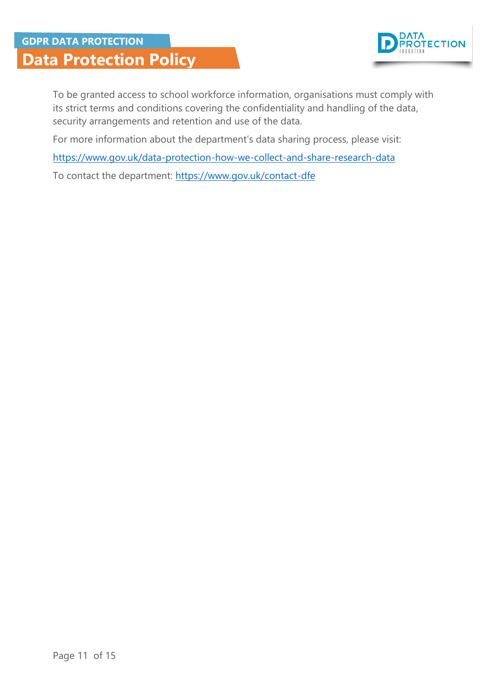

To be granted access to school workforce information, organisations must comply with its strict terms and conditions covering the confidentiality and handling of the data, security arrangements and retention and use of the data.

For more information about the department's data sharing process, please visit:

<https://www.gov.uk/data-protection-how-we-collect-and-share-research-data>

To contact the department:<https://www.gov.uk/contact-dfe>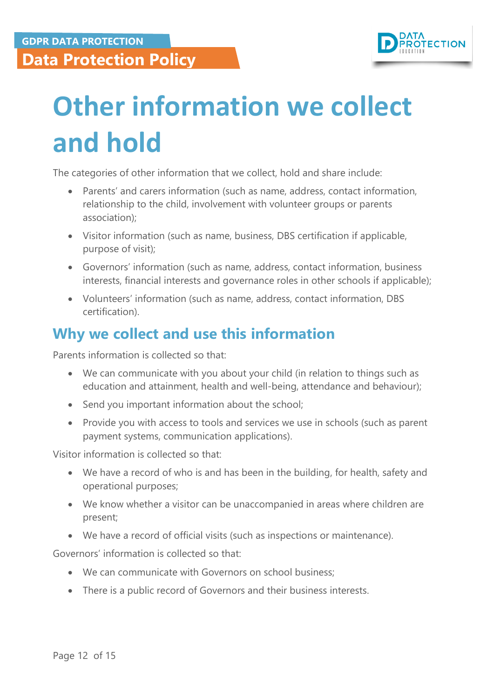

# <span id="page-11-0"></span>**Other information we collect and hold**

The categories of other information that we collect, hold and share include:

- Parents' and carers information (such as name, address, contact information, relationship to the child, involvement with volunteer groups or parents association);
- Visitor information (such as name, business, DBS certification if applicable, purpose of visit);
- Governors' information (such as name, address, contact information, business interests, financial interests and governance roles in other schools if applicable);
- Volunteers' information (such as name, address, contact information, DBS certification).

#### <span id="page-11-1"></span>**Why we collect and use this information**

Parents information is collected so that:

- We can communicate with you about your child (in relation to things such as education and attainment, health and well-being, attendance and behaviour);
- Send you important information about the school;
- Provide you with access to tools and services we use in schools (such as parent payment systems, communication applications).

Visitor information is collected so that:

- We have a record of who is and has been in the building, for health, safety and operational purposes;
- We know whether a visitor can be unaccompanied in areas where children are present;
- We have a record of official visits (such as inspections or maintenance).

Governors' information is collected so that:

- We can communicate with Governors on school business;
- There is a public record of Governors and their business interests.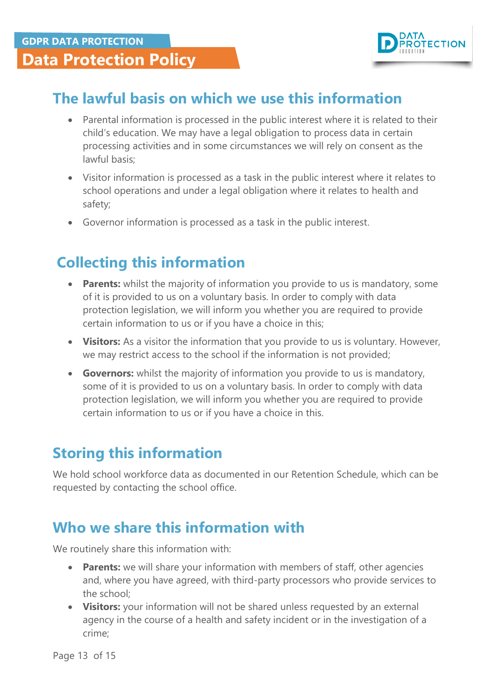

#### <span id="page-12-0"></span>**The lawful basis on which we use this information**

- Parental information is processed in the public interest where it is related to their child's education. We may have a legal obligation to process data in certain processing activities and in some circumstances we will rely on consent as the lawful basis;
- Visitor information is processed as a task in the public interest where it relates to school operations and under a legal obligation where it relates to health and safety;
- Governor information is processed as a task in the public interest.

### <span id="page-12-1"></span>**Collecting this information**

- **Parents:** whilst the majority of information you provide to us is mandatory, some of it is provided to us on a voluntary basis. In order to comply with data protection legislation, we will inform you whether you are required to provide certain information to us or if you have a choice in this;
- **Visitors:** As a visitor the information that you provide to us is voluntary. However, we may restrict access to the school if the information is not provided;
- **Governors:** whilst the majority of information you provide to us is mandatory, some of it is provided to us on a voluntary basis. In order to comply with data protection legislation, we will inform you whether you are required to provide certain information to us or if you have a choice in this.

### <span id="page-12-2"></span>**Storing this information**

We hold school workforce data as documented in our Retention Schedule, which can be requested by contacting the school office.

#### <span id="page-12-3"></span>**Who we share this information with**

We routinely share this information with:

- **Parents:** we will share your information with members of staff, other agencies and, where you have agreed, with third-party processors who provide services to the school;
- **Visitors:** your information will not be shared unless requested by an external agency in the course of a health and safety incident or in the investigation of a crime;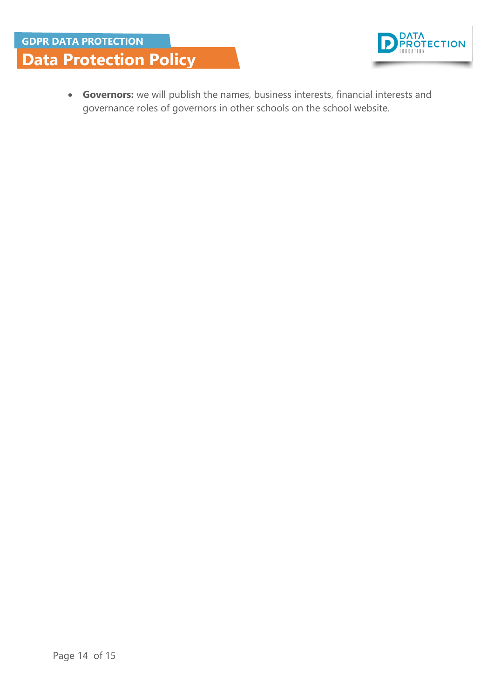



 **Governors:** we will publish the names, business interests, financial interests and governance roles of governors in other schools on the school website.